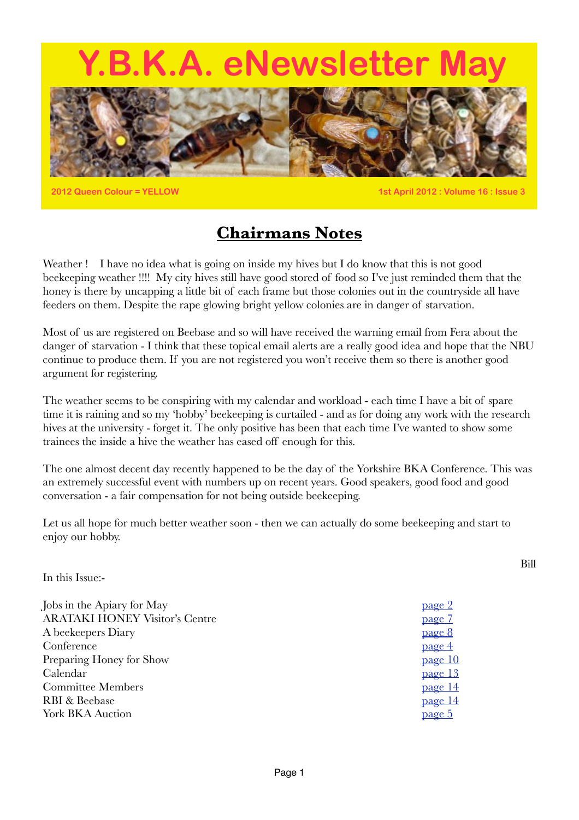# **Y.B.K.A. eNewsletter May**



**2012 Queen Colour = YELLOW 1st April 2012 : Volume 16 : Issue 3**

Bill

### **Chairmans Notes**

Weather ! I have no idea what is going on inside my hives but I do know that this is not good beekeeping weather !!!! My city hives still have good stored of food so I've just reminded them that the honey is there by uncapping a little bit of each frame but those colonies out in the countryside all have feeders on them. Despite the rape glowing bright yellow colonies are in danger of starvation.

Most of us are registered on Beebase and so will have received the warning email from Fera about the danger of starvation - I think that these topical email alerts are a really good idea and hope that the NBU continue to produce them. If you are not registered you won't receive them so there is another good argument for registering.

The weather seems to be conspiring with my calendar and workload - each time I have a bit of spare time it is raining and so my 'hobby' beekeeping is curtailed - and as for doing any work with the research hives at the university - forget it. The only positive has been that each time I've wanted to show some trainees the inside a hive the weather has eased off enough for this.

The one almost decent day recently happened to be the day of the Yorkshire BKA Conference. This was an extremely successful event with numbers up on recent years. Good speakers, good food and good conversation - a fair compensation for not being outside beekeeping.

Let us all hope for much better weather soon - then we can actually do some beekeeping and start to enjoy our hobby.

In this Issue:-

<span id="page-0-0"></span>

| Jobs in the Apiary for May            | <u>page 2</u> |
|---------------------------------------|---------------|
| <b>ARATAKI HONEY Visitor's Centre</b> | page 7        |
| A beekeepers Diary                    | page 8        |
| Conference                            | page 4        |
| Preparing Honey for Show              | page 10       |
| Calendar                              | page 13       |
| <b>Committee Members</b>              | page 14       |
| RBI & Beebase                         | page 14       |
| <b>York BKA Auction</b>               | <u>page 5</u> |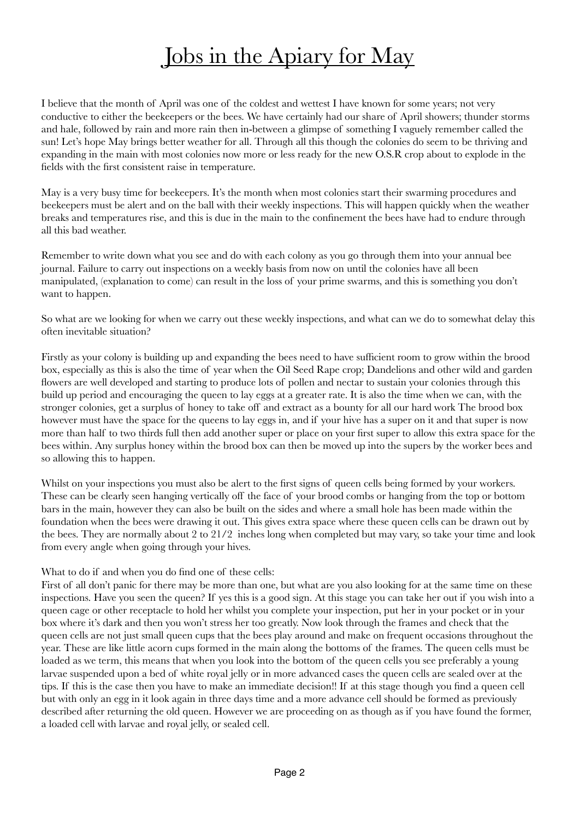# <span id="page-1-0"></span>Jobs in the Apiary for May

I believe that the month of April was one of the coldest and wettest I have known for some years; not very conductive to either the beekeepers or the bees. We have certainly had our share of April showers; thunder storms and hale, followed by rain and more rain then in-between a glimpse of something I vaguely remember called the sun! Let's hope May brings better weather for all. Through all this though the colonies do seem to be thriving and expanding in the main with most colonies now more or less ready for the new O.S.R crop about to explode in the fields with the first consistent raise in temperature.

May is a very busy time for beekeepers. It's the month when most colonies start their swarming procedures and beekeepers must be alert and on the ball with their weekly inspections. This will happen quickly when the weather breaks and temperatures rise, and this is due in the main to the confinement the bees have had to endure through all this bad weather.

Remember to write down what you see and do with each colony as you go through them into your annual bee journal. Failure to carry out inspections on a weekly basis from now on until the colonies have all been manipulated, (explanation to come) can result in the loss of your prime swarms, and this is something you don't want to happen.

So what are we looking for when we carry out these weekly inspections, and what can we do to somewhat delay this often inevitable situation?

Firstly as your colony is building up and expanding the bees need to have sufficient room to grow within the brood box, especially as this is also the time of year when the Oil Seed Rape crop; Dandelions and other wild and garden flowers are well developed and starting to produce lots of pollen and nectar to sustain your colonies through this build up period and encouraging the queen to lay eggs at a greater rate. It is also the time when we can, with the stronger colonies, get a surplus of honey to take off and extract as a bounty for all our hard work The brood box however must have the space for the queens to lay eggs in, and if your hive has a super on it and that super is now more than half to two thirds full then add another super or place on your first super to allow this extra space for the bees within. Any surplus honey within the brood box can then be moved up into the supers by the worker bees and so allowing this to happen.

Whilst on your inspections you must also be alert to the first signs of queen cells being formed by your workers. These can be clearly seen hanging vertically off the face of your brood combs or hanging from the top or bottom bars in the main, however they can also be built on the sides and where a small hole has been made within the foundation when the bees were drawing it out. This gives extra space where these queen cells can be drawn out by the bees. They are normally about 2 to 21/2 inches long when completed but may vary, so take your time and look from every angle when going through your hives.

#### What to do if and when you do find one of these cells:

First of all don't panic for there may be more than one, but what are you also looking for at the same time on these inspections. Have you seen the queen? If yes this is a good sign. At this stage you can take her out if you wish into a queen cage or other receptacle to hold her whilst you complete your inspection, put her in your pocket or in your box where it's dark and then you won't stress her too greatly. Now look through the frames and check that the queen cells are not just small queen cups that the bees play around and make on frequent occasions throughout the year. These are like little acorn cups formed in the main along the bottoms of the frames. The queen cells must be loaded as we term, this means that when you look into the bottom of the queen cells you see preferably a young larvae suspended upon a bed of white royal jelly or in more advanced cases the queen cells are sealed over at the tips. If this is the case then you have to make an immediate decision!! If at this stage though you find a queen cell but with only an egg in it look again in three days time and a more advance cell should be formed as previously described after returning the old queen. However we are proceeding on as though as if you have found the former, a loaded cell with larvae and royal jelly, or sealed cell.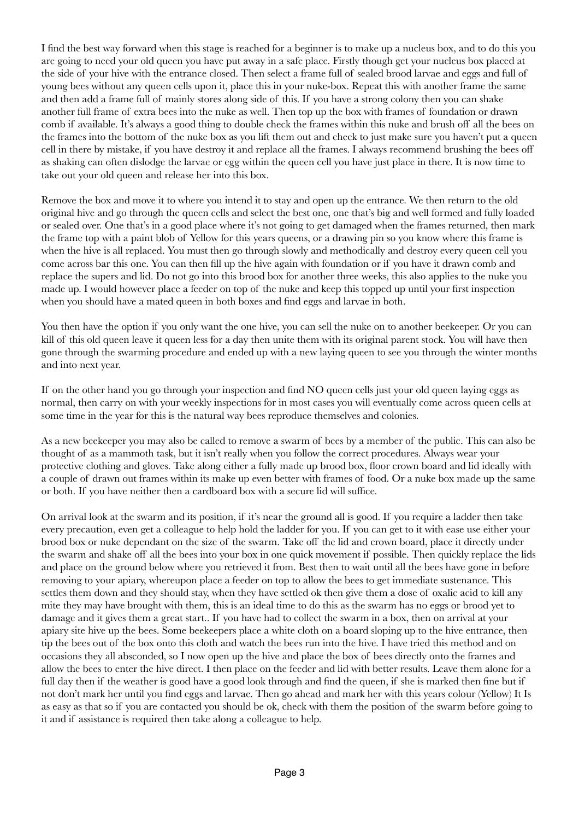I find the best way forward when this stage is reached for a beginner is to make up a nucleus box, and to do this you are going to need your old queen you have put away in a safe place. Firstly though get your nucleus box placed at the side of your hive with the entrance closed. Then select a frame full of sealed brood larvae and eggs and full of young bees without any queen cells upon it, place this in your nuke-box. Repeat this with another frame the same and then add a frame full of mainly stores along side of this. If you have a strong colony then you can shake another full frame of extra bees into the nuke as well. Then top up the box with frames of foundation or drawn comb if available. It's always a good thing to double check the frames within this nuke and brush off all the bees on the frames into the bottom of the nuke box as you lift them out and check to just make sure you haven't put a queen cell in there by mistake, if you have destroy it and replace all the frames. I always recommend brushing the bees off as shaking can often dislodge the larvae or egg within the queen cell you have just place in there. It is now time to take out your old queen and release her into this box.

Remove the box and move it to where you intend it to stay and open up the entrance. We then return to the old original hive and go through the queen cells and select the best one, one that's big and well formed and fully loaded or sealed over. One that's in a good place where it's not going to get damaged when the frames returned, then mark the frame top with a paint blob of Yellow for this years queens, or a drawing pin so you know where this frame is when the hive is all replaced. You must then go through slowly and methodically and destroy every queen cell you come across bar this one. You can then fill up the hive again with foundation or if you have it drawn comb and replace the supers and lid. Do not go into this brood box for another three weeks, this also applies to the nuke you made up. I would however place a feeder on top of the nuke and keep this topped up until your first inspection when you should have a mated queen in both boxes and find eggs and larvae in both.

You then have the option if you only want the one hive, you can sell the nuke on to another beekeeper. Or you can kill of this old queen leave it queen less for a day then unite them with its original parent stock. You will have then gone through the swarming procedure and ended up with a new laying queen to see you through the winter months and into next year.

If on the other hand you go through your inspection and find NO queen cells just your old queen laying eggs as normal, then carry on with your weekly inspections for in most cases you will eventually come across queen cells at some time in the year for this is the natural way bees reproduce themselves and colonies.

As a new beekeeper you may also be called to remove a swarm of bees by a member of the public. This can also be thought of as a mammoth task, but it isn't really when you follow the correct procedures. Always wear your protective clothing and gloves. Take along either a fully made up brood box, floor crown board and lid ideally with a couple of drawn out frames within its make up even better with frames of food. Or a nuke box made up the same or both. If you have neither then a cardboard box with a secure lid will suffice.

On arrival look at the swarm and its position, if it's near the ground all is good. If you require a ladder then take every precaution, even get a colleague to help hold the ladder for you. If you can get to it with ease use either your brood box or nuke dependant on the size of the swarm. Take off the lid and crown board, place it directly under the swarm and shake off all the bees into your box in one quick movement if possible. Then quickly replace the lids and place on the ground below where you retrieved it from. Best then to wait until all the bees have gone in before removing to your apiary, whereupon place a feeder on top to allow the bees to get immediate sustenance. This settles them down and they should stay, when they have settled ok then give them a dose of oxalic acid to kill any mite they may have brought with them, this is an ideal time to do this as the swarm has no eggs or brood yet to damage and it gives them a great start.. If you have had to collect the swarm in a box, then on arrival at your apiary site hive up the bees. Some beekeepers place a white cloth on a board sloping up to the hive entrance, then tip the bees out of the box onto this cloth and watch the bees run into the hive. I have tried this method and on occasions they all absconded, so I now open up the hive and place the box of bees directly onto the frames and allow the bees to enter the hive direct. I then place on the feeder and lid with better results. Leave them alone for a full day then if the weather is good have a good look through and find the queen, if she is marked then fine but if not don't mark her until you find eggs and larvae. Then go ahead and mark her with this years colour (Yellow) It Is as easy as that so if you are contacted you should be ok, check with them the position of the swarm before going to it and if assistance is required then take along a colleague to help.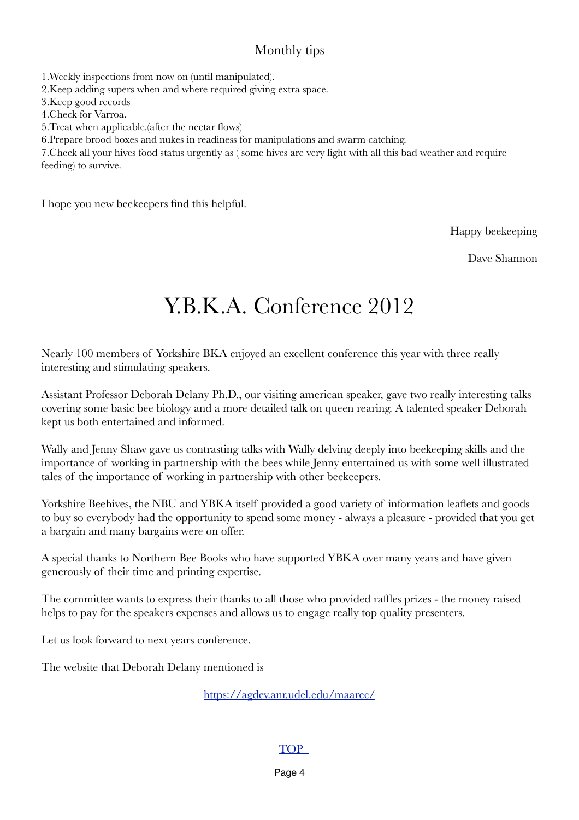#### Monthly tips

1.Weekly inspections from now on (until manipulated).

2.Keep adding supers when and where required giving extra space.

3.Keep good records

4.Check for Varroa.

5.Treat when applicable.(after the nectar flows)

6.Prepare brood boxes and nukes in readiness for manipulations and swarm catching.

7.Check all your hives food status urgently as ( some hives are very light with all this bad weather and require feeding) to survive.

I hope you new beekeepers find this helpful.

Happy beekeeping

Dave Shannon

# Y.B.K.A. Conference 2012

Nearly 100 members of Yorkshire BKA enjoyed an excellent conference this year with three really interesting and stimulating speakers.

Assistant Professor Deborah Delany Ph.D., our visiting american speaker, gave two really interesting talks covering some basic bee biology and a more detailed talk on queen rearing. A talented speaker Deborah kept us both entertained and informed.

Wally and Jenny Shaw gave us contrasting talks with Wally delving deeply into beekeeping skills and the importance of working in partnership with the bees while Jenny entertained us with some well illustrated tales of the importance of working in partnership with other beekeepers.

Yorkshire Beehives, the NBU and YBKA itself provided a good variety of information leaflets and goods to buy so everybody had the opportunity to spend some money - always a pleasure - provided that you get a bargain and many bargains were on offer.

A special thanks to Northern Bee Books who have supported YBKA over many years and have given generously of their time and printing expertise.

The committee wants to express their thanks to all those who provided raffles prizes - the money raised helps to pay for the speakers expenses and allows us to engage really top quality presenters.

Let us look forward to next years conference.

The website that Deborah Delany mentioned is

<https://agdev.anr.udel.edu/maarec/>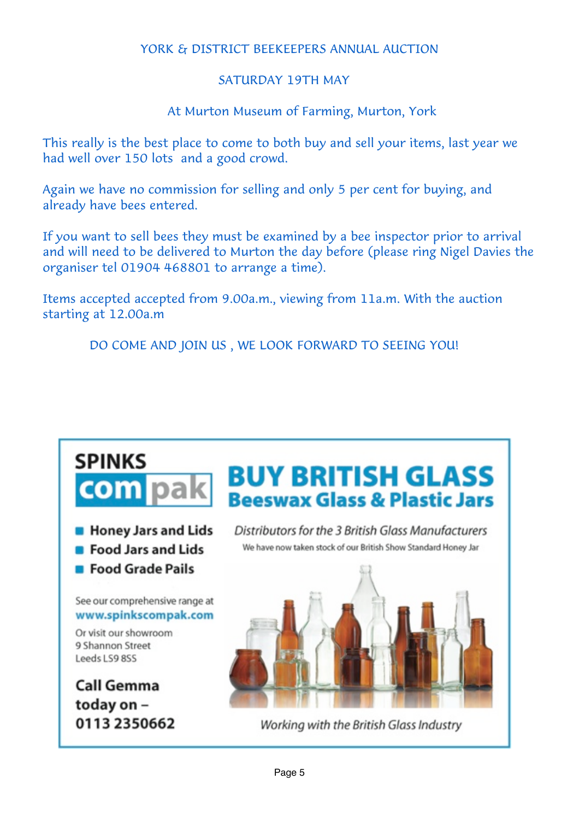#### YORK & DISTRICT BEEKEEPERS ANNUAL AUCTION

#### SATURDAY 19TH MAY

At Murton Museum of Farming, Murton, York

This really is the best place to come to both buy and sell your items, last year we had well over 150 lots and a good crowd.

Again we have no commission for selling and only 5 per cent for buying, and already have bees entered.

If you want to sell bees they must be examined by a bee inspector prior to arrival and will need to be delivered to Murton the day before (please ring Nigel Davies the organiser tel 01904 468801 to arrange a time).

Items accepted accepted from 9.00a.m., viewing from 11a.m. With the auction starting at 12.00a.m

<span id="page-4-0"></span>DO COME AND JOIN US , WE LOOK FORWARD TO SEEING YOU!

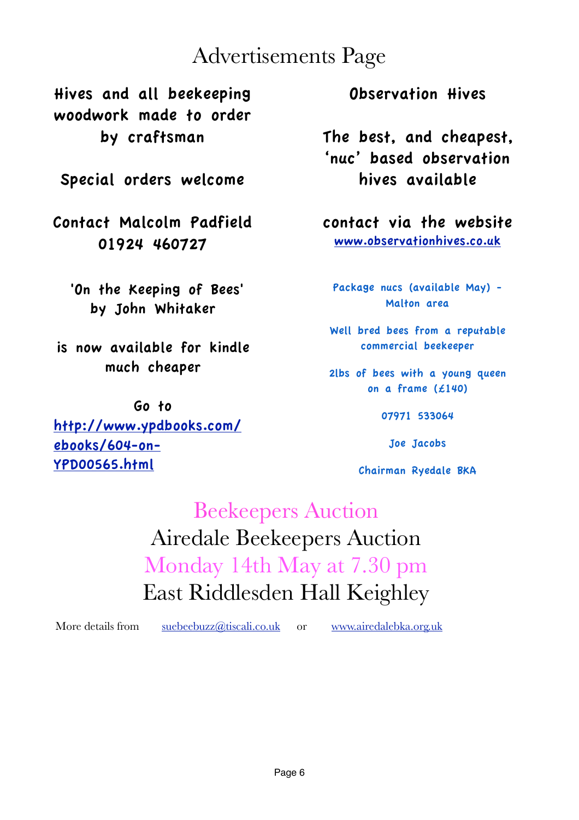# Advertisements Page

Hives and all beekeeping woodwork made to order by craftsman

Special orders welcome

Contact Malcolm Padfield 01924 460727

 'On the Keeping of Bees' by John Whitaker

is now available for kindle much cheaper

Go to [http://www.ypdbooks.com/](http://www.ypdbooks.com/ebooks/604-on-YPD00565.html) [ebooks/604-on-](http://www.ypdbooks.com/ebooks/604-on-YPD00565.html)[YPD00565.html](http://www.ypdbooks.com/ebooks/604-on-YPD00565.html)

Observation Hives

The best, and cheapest, 'nuc' based observation hives available

contact via the website [www.observationhives.co.uk](http://www.observationhives.co.uk)

Package nucs (available May) - Malton area

Well bred bees from a reputable commercial beekeeper

2lbs of bees with a young queen on a frame (£140)

07971 533064

Joe Jacobs

Chairman Ryedale BKA

Beekeepers Auction Airedale Beekeepers Auction Monday 14th May at 7.30 pm East Riddlesden Hall Keighley

More details from [suebeebuzz@tiscali.co.uk](mailto:suebeebuzz@tiscali.co.uk) or [www.airedalebka.org.uk](http://www.airedalebka.org.uk)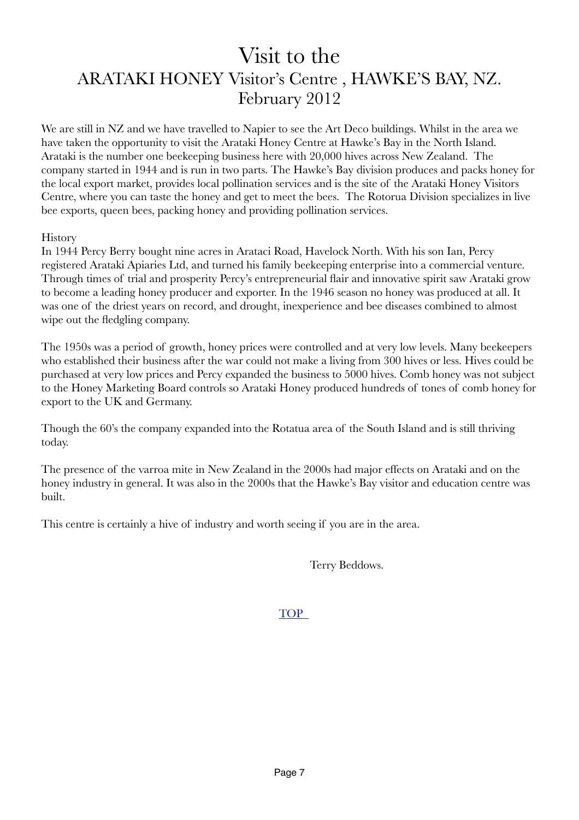## <span id="page-6-0"></span>Visit to the ARATAKI HONEY Visitor's Centre , HAWKE'S BAY, NZ. February 2012

We are still in NZ and we have travelled to Napier to see the Art Deco buildings. Whilst in the area we have taken the opportunity to visit the Arataki Honey Centre at Hawke's Bay in the North Island. Arataki is the number one beekeeping business here with 20,000 hives across New Zealand. The company started in 1944 and is run in two parts. The Hawke's Bay division produces and packs honey for the local export market, provides local pollination services and is the site of the Arataki Honey Visitors Centre, where you can taste the honey and get to meet the bees. The Rotorua Division specializes in live bee exports, queen bees, packing honey and providing pollination services.

#### **History**

In 1944 Percy Berry bought nine acres in Arataci Road, Havelock North. With his son Ian, Percy registered Arataki Apiaries Ltd, and turned his family beekeeping enterprise into a commercial venture. Through times of trial and prosperity Percy's entrepreneurial flair and innovative spirit saw Arataki grow to become a leading honey producer and exporter. In the 1946 season no honey was produced at all. It was one of the driest years on record, and drought, inexperience and bee diseases combined to almost wipe out the fledgling company.

The 1950s was a period of growth, honey prices were controlled and at very low levels. Many beekeepers who established their business after the war could not make a living from 300 hives or less. Hives could be purchased at very low prices and Percy expanded the business to 5000 hives. Comb honey was not subject to the Honey Marketing Board controls so Arataki Honey produced hundreds of tones of comb honey for export to the UK and Germany.

Though the 60's the company expanded into the Rotatua area of the South Island and is still thriving today.

The presence of the varroa mite in New Zealand in the 2000s had major effects on Arataki and on the honey industry in general. It was also in the 2000s that the Hawke's Bay visitor and education centre was built.

This centre is certainly a hive of industry and worth seeing if you are in the area.

Terry Beddows.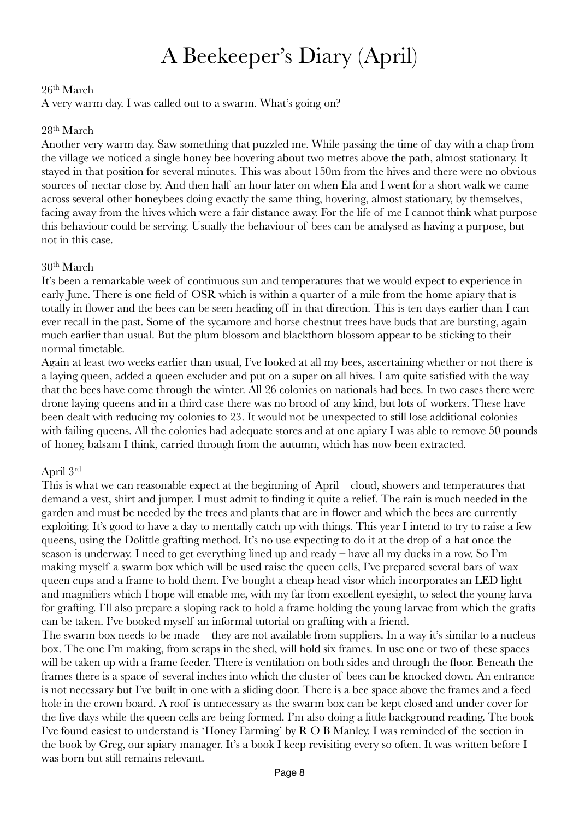# <span id="page-7-0"></span>A Beekeeper's Diary (April)

#### $26<sup>th</sup> March$

A very warm day. I was called out to a swarm. What's going on?

#### 28th March

Another very warm day. Saw something that puzzled me. While passing the time of day with a chap from the village we noticed a single honey bee hovering about two metres above the path, almost stationary. It stayed in that position for several minutes. This was about 150m from the hives and there were no obvious sources of nectar close by. And then half an hour later on when Ela and I went for a short walk we came across several other honeybees doing exactly the same thing, hovering, almost stationary, by themselves, facing away from the hives which were a fair distance away. For the life of me I cannot think what purpose this behaviour could be serving. Usually the behaviour of bees can be analysed as having a purpose, but not in this case.

#### 30th March

It's been a remarkable week of continuous sun and temperatures that we would expect to experience in early June. There is one field of OSR which is within a quarter of a mile from the home apiary that is totally in flower and the bees can be seen heading off in that direction. This is ten days earlier than I can ever recall in the past. Some of the sycamore and horse chestnut trees have buds that are bursting, again much earlier than usual. But the plum blossom and blackthorn blossom appear to be sticking to their normal timetable.

Again at least two weeks earlier than usual, I've looked at all my bees, ascertaining whether or not there is a laying queen, added a queen excluder and put on a super on all hives. I am quite satisfied with the way that the bees have come through the winter. All 26 colonies on nationals had bees. In two cases there were drone laying queens and in a third case there was no brood of any kind, but lots of workers. These have been dealt with reducing my colonies to 23. It would not be unexpected to still lose additional colonies with failing queens. All the colonies had adequate stores and at one apiary I was able to remove 50 pounds of honey, balsam I think, carried through from the autumn, which has now been extracted.

#### April 3rd

This is what we can reasonable expect at the beginning of April – cloud, showers and temperatures that demand a vest, shirt and jumper. I must admit to finding it quite a relief. The rain is much needed in the garden and must be needed by the trees and plants that are in flower and which the bees are currently exploiting. It's good to have a day to mentally catch up with things. This year I intend to try to raise a few queens, using the Dolittle grafting method. It's no use expecting to do it at the drop of a hat once the season is underway. I need to get everything lined up and ready – have all my ducks in a row. So I'm making myself a swarm box which will be used raise the queen cells, I've prepared several bars of wax queen cups and a frame to hold them. I've bought a cheap head visor which incorporates an LED light and magnifiers which I hope will enable me, with my far from excellent eyesight, to select the young larva for grafting. I'll also prepare a sloping rack to hold a frame holding the young larvae from which the grafts can be taken. I've booked myself an informal tutorial on grafting with a friend.

The swarm box needs to be made – they are not available from suppliers. In a way it's similar to a nucleus box. The one I'm making, from scraps in the shed, will hold six frames. In use one or two of these spaces will be taken up with a frame feeder. There is ventilation on both sides and through the floor. Beneath the frames there is a space of several inches into which the cluster of bees can be knocked down. An entrance is not necessary but I've built in one with a sliding door. There is a bee space above the frames and a feed hole in the crown board. A roof is unnecessary as the swarm box can be kept closed and under cover for the five days while the queen cells are being formed. I'm also doing a little background reading. The book I've found easiest to understand is 'Honey Farming' by R O B Manley. I was reminded of the section in the book by Greg, our apiary manager. It's a book I keep revisiting every so often. It was written before I was born but still remains relevant.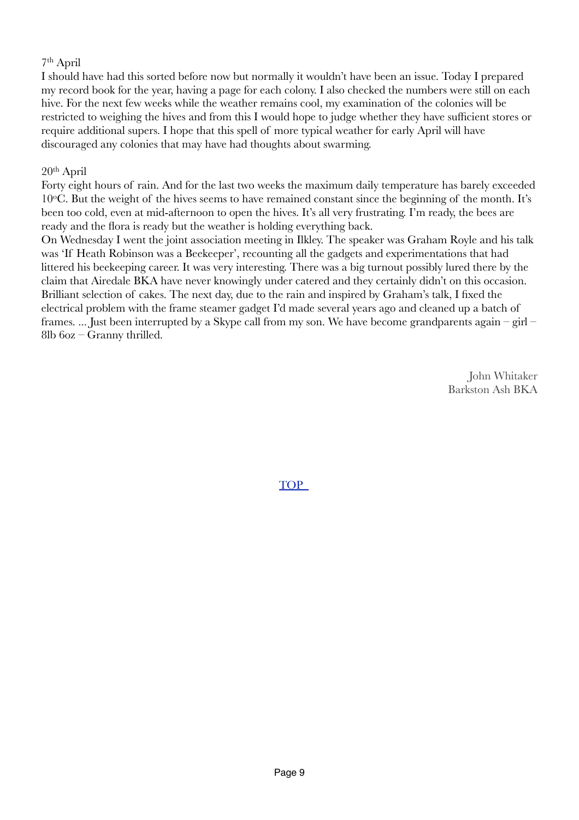#### 7th April

I should have had this sorted before now but normally it wouldn't have been an issue. Today I prepared my record book for the year, having a page for each colony. I also checked the numbers were still on each hive. For the next few weeks while the weather remains cool, my examination of the colonies will be restricted to weighing the hives and from this I would hope to judge whether they have sufficient stores or require additional supers. I hope that this spell of more typical weather for early April will have discouraged any colonies that may have had thoughts about swarming.

#### 20th April

Forty eight hours of rain. And for the last two weeks the maximum daily temperature has barely exceeded  $10^{\circ}$ C. But the weight of the hives seems to have remained constant since the beginning of the month. It's been too cold, even at mid-afternoon to open the hives. It's all very frustrating. I'm ready, the bees are ready and the flora is ready but the weather is holding everything back.

On Wednesday I went the joint association meeting in Ilkley. The speaker was Graham Royle and his talk was 'If Heath Robinson was a Beekeeper', recounting all the gadgets and experimentations that had littered his beekeeping career. It was very interesting. There was a big turnout possibly lured there by the claim that Airedale BKA have never knowingly under catered and they certainly didn't on this occasion. Brilliant selection of cakes. The next day, due to the rain and inspired by Graham's talk, I fixed the electrical problem with the frame steamer gadget I'd made several years ago and cleaned up a batch of frames. ... Just been interrupted by a Skype call from my son. We have become grandparents again – girl – 8lb 6oz – Granny thrilled.

> John Whitaker Barkston Ash BKA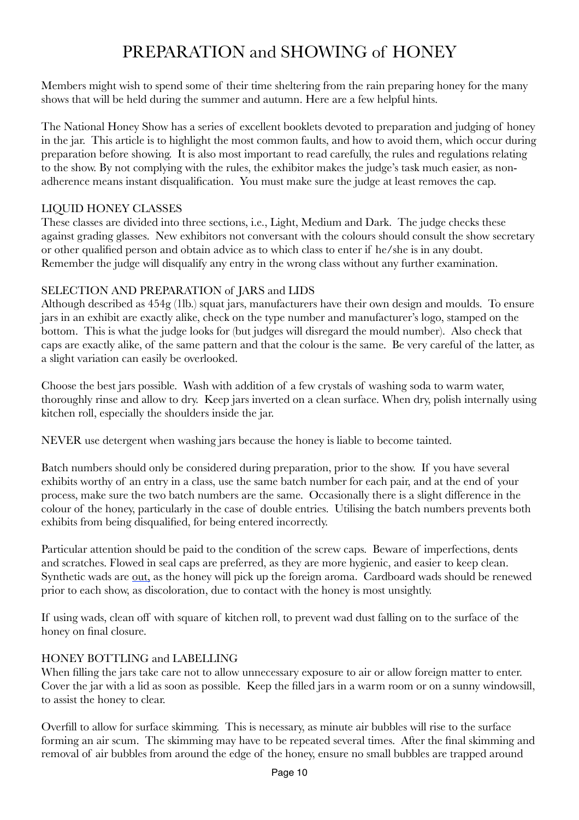### <span id="page-9-0"></span>PREPARATION and SHOWING of HONEY

Members might wish to spend some of their time sheltering from the rain preparing honey for the many shows that will be held during the summer and autumn. Here are a few helpful hints.

The National Honey Show has a series of excellent booklets devoted to preparation and judging of honey in the jar. This article is to highlight the most common faults, and how to avoid them, which occur during preparation before showing. It is also most important to read carefully, the rules and regulations relating to the show. By not complying with the rules, the exhibitor makes the judge's task much easier, as nonadherence means instant disqualification. You must make sure the judge at least removes the cap.

#### LIQUID HONEY CLASSES

These classes are divided into three sections, i.e., Light, Medium and Dark. The judge checks these against grading glasses. New exhibitors not conversant with the colours should consult the show secretary or other qualified person and obtain advice as to which class to enter if he/she is in any doubt. Remember the judge will disqualify any entry in the wrong class without any further examination.

#### SELECTION AND PREPARATION of JARS and LIDS

Although described as 454g (1lb.) squat jars, manufacturers have their own design and moulds. To ensure jars in an exhibit are exactly alike, check on the type number and manufacturer's logo, stamped on the bottom. This is what the judge looks for (but judges will disregard the mould number). Also check that caps are exactly alike, of the same pattern and that the colour is the same. Be very careful of the latter, as a slight variation can easily be overlooked.

Choose the best jars possible. Wash with addition of a few crystals of washing soda to warm water, thoroughly rinse and allow to dry. Keep jars inverted on a clean surface. When dry, polish internally using kitchen roll, especially the shoulders inside the jar.

NEVER use detergent when washing jars because the honey is liable to become tainted.

Batch numbers should only be considered during preparation, prior to the show. If you have several exhibits worthy of an entry in a class, use the same batch number for each pair, and at the end of your process, make sure the two batch numbers are the same. Occasionally there is a slight difference in the colour of the honey, particularly in the case of double entries. Utilising the batch numbers prevents both exhibits from being disqualified, for being entered incorrectly.

Particular attention should be paid to the condition of the screw caps. Beware of imperfections, dents and scratches. Flowed in seal caps are preferred, as they are more hygienic, and easier to keep clean. Synthetic wads are out, as the honey will pick up the foreign aroma. Cardboard wads should be renewed prior to each show, as discoloration, due to contact with the honey is most unsightly.

If using wads, clean off with square of kitchen roll, to prevent wad dust falling on to the surface of the honey on final closure.

#### HONEY BOTTLING and LABELLING

When filling the jars take care not to allow unnecessary exposure to air or allow foreign matter to enter. Cover the jar with a lid as soon as possible. Keep the filled jars in a warm room or on a sunny windowsill, to assist the honey to clear.

Overfill to allow for surface skimming. This is necessary, as minute air bubbles will rise to the surface forming an air scum. The skimming may have to be repeated several times. After the final skimming and removal of air bubbles from around the edge of the honey, ensure no small bubbles are trapped around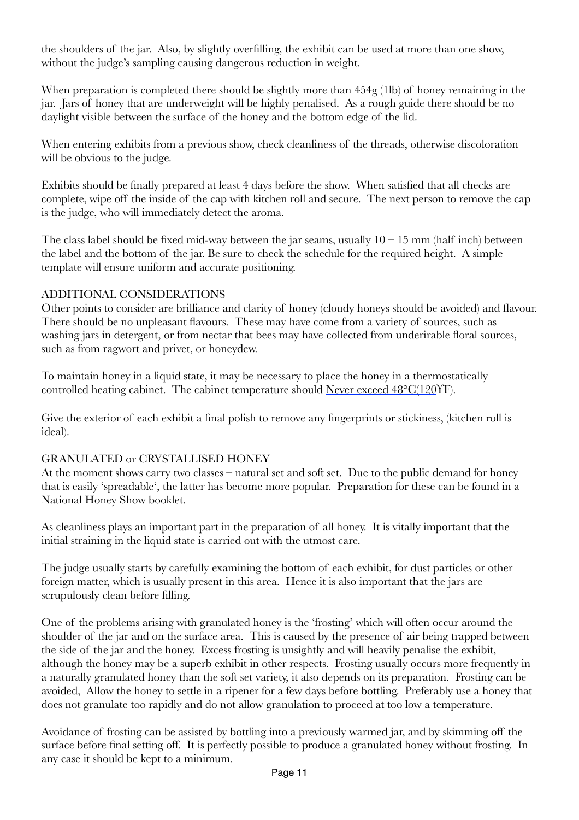the shoulders of the jar. Also, by slightly overfilling, the exhibit can be used at more than one show, without the judge's sampling causing dangerous reduction in weight.

When preparation is completed there should be slightly more than  $454g (11b)$  of honey remaining in the jar. Jars of honey that are underweight will be highly penalised. As a rough guide there should be no daylight visible between the surface of the honey and the bottom edge of the lid.

When entering exhibits from a previous show, check cleanliness of the threads, otherwise discoloration will be obvious to the judge.

Exhibits should be finally prepared at least 4 days before the show. When satisfied that all checks are complete, wipe off the inside of the cap with kitchen roll and secure. The next person to remove the cap is the judge, who will immediately detect the aroma.

The class label should be fixed mid-way between the jar seams, usually  $10 - 15$  mm (half inch) between the label and the bottom of the jar. Be sure to check the schedule for the required height. A simple template will ensure uniform and accurate positioning.

#### ADDITIONAL CONSIDERATIONS

Other points to consider are brilliance and clarity of honey (cloudy honeys should be avoided) and flavour. There should be no unpleasant flavours. These may have come from a variety of sources, such as washing jars in detergent, or from nectar that bees may have collected from underirable floral sources, such as from ragwort and privet, or honeydew.

To maintain honey in a liquid state, it may be necessary to place the honey in a thermostatically controlled heating cabinet. The cabinet temperature should Never exceed 48°C(120ϒF).

Give the exterior of each exhibit a final polish to remove any fingerprints or stickiness, (kitchen roll is ideal).

#### GRANULATED or CRYSTALLISED HONEY

At the moment shows carry two classes – natural set and soft set. Due to the public demand for honey that is easily 'spreadable', the latter has become more popular. Preparation for these can be found in a National Honey Show booklet.

As cleanliness plays an important part in the preparation of all honey. It is vitally important that the initial straining in the liquid state is carried out with the utmost care.

The judge usually starts by carefully examining the bottom of each exhibit, for dust particles or other foreign matter, which is usually present in this area. Hence it is also important that the jars are scrupulously clean before filling.

One of the problems arising with granulated honey is the 'frosting' which will often occur around the shoulder of the jar and on the surface area. This is caused by the presence of air being trapped between the side of the jar and the honey. Excess frosting is unsightly and will heavily penalise the exhibit, although the honey may be a superb exhibit in other respects. Frosting usually occurs more frequently in a naturally granulated honey than the soft set variety, it also depends on its preparation. Frosting can be avoided, Allow the honey to settle in a ripener for a few days before bottling. Preferably use a honey that does not granulate too rapidly and do not allow granulation to proceed at too low a temperature.

Avoidance of frosting can be assisted by bottling into a previously warmed jar, and by skimming off the surface before final setting off. It is perfectly possible to produce a granulated honey without frosting. In any case it should be kept to a minimum.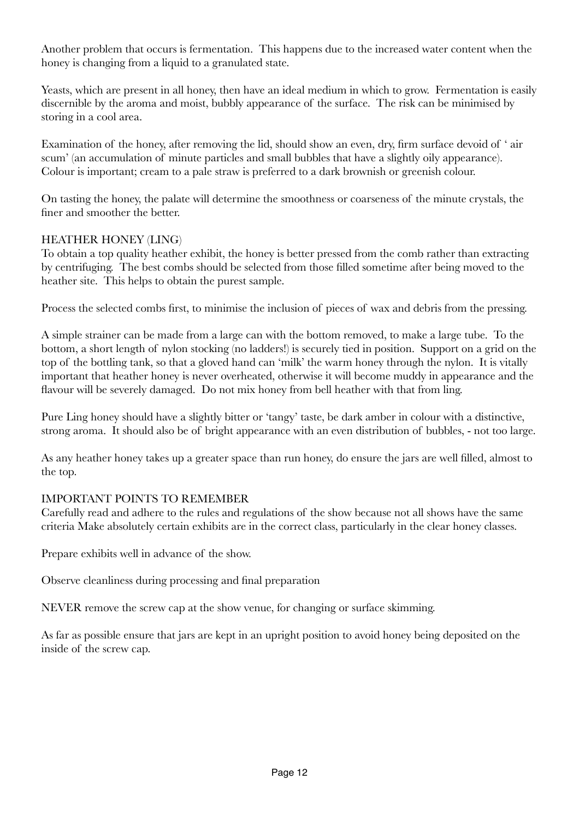Another problem that occurs is fermentation. This happens due to the increased water content when the honey is changing from a liquid to a granulated state.

Yeasts, which are present in all honey, then have an ideal medium in which to grow. Fermentation is easily discernible by the aroma and moist, bubbly appearance of the surface. The risk can be minimised by storing in a cool area.

Examination of the honey, after removing the lid, should show an even, dry, firm surface devoid of ' air scum' (an accumulation of minute particles and small bubbles that have a slightly oily appearance). Colour is important; cream to a pale straw is preferred to a dark brownish or greenish colour.

On tasting the honey, the palate will determine the smoothness or coarseness of the minute crystals, the finer and smoother the better.

#### HEATHER HONEY (LING)

To obtain a top quality heather exhibit, the honey is better pressed from the comb rather than extracting by centrifuging. The best combs should be selected from those filled sometime after being moved to the heather site. This helps to obtain the purest sample.

Process the selected combs first, to minimise the inclusion of pieces of wax and debris from the pressing.

A simple strainer can be made from a large can with the bottom removed, to make a large tube. To the bottom, a short length of nylon stocking (no ladders!) is securely tied in position. Support on a grid on the top of the bottling tank, so that a gloved hand can 'milk' the warm honey through the nylon. It is vitally important that heather honey is never overheated, otherwise it will become muddy in appearance and the flavour will be severely damaged. Do not mix honey from bell heather with that from ling.

Pure Ling honey should have a slightly bitter or 'tangy' taste, be dark amber in colour with a distinctive, strong aroma. It should also be of bright appearance with an even distribution of bubbles, - not too large.

As any heather honey takes up a greater space than run honey, do ensure the jars are well filled, almost to the top.

#### IMPORTANT POINTS TO REMEMBER

Carefully read and adhere to the rules and regulations of the show because not all shows have the same criteria Make absolutely certain exhibits are in the correct class, particularly in the clear honey classes.

Prepare exhibits well in advance of the show.

Observe cleanliness during processing and final preparation

NEVER remove the screw cap at the show venue, for changing or surface skimming.

As far as possible ensure that jars are kept in an upright position to avoid honey being deposited on the inside of the screw cap.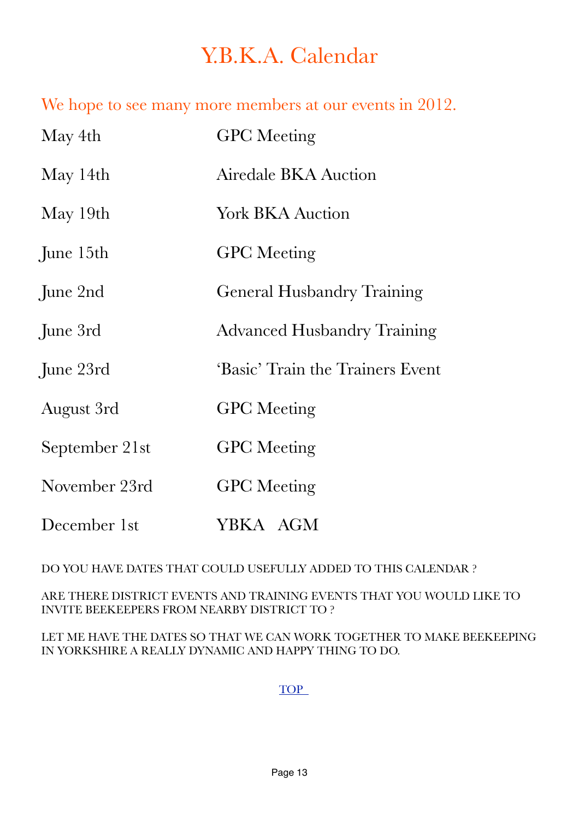# <span id="page-12-0"></span>Y.B.K.A. Calendar

We hope to see many more members at our events in 2012.

| May 4th        | <b>GPC</b> Meeting                 |
|----------------|------------------------------------|
| May 14th       | Airedale BKA Auction               |
| May 19th       | <b>York BKA Auction</b>            |
| June 15th      | <b>GPC</b> Meeting                 |
| June 2nd       | <b>General Husbandry Training</b>  |
| June 3rd       | <b>Advanced Husbandry Training</b> |
| June 23rd      | 'Basic' Train the Trainers Event   |
| August 3rd     | <b>GPC</b> Meeting                 |
| September 21st | <b>GPC</b> Meeting                 |
| November 23rd  | <b>GPC</b> Meeting                 |
| December 1st   | YBKA AGM                           |

DO YOU HAVE DATES THAT COULD USEFULLY ADDED TO THIS CALENDAR ?

ARE THERE DISTRICT EVENTS AND TRAINING EVENTS THAT YOU WOULD LIKE TO INVITE BEEKEEPERS FROM NEARBY DISTRICT TO ?

LET ME HAVE THE DATES SO THAT WE CAN WORK TOGETHER TO MAKE BEEKEEPING IN YORKSHIRE A REALLY DYNAMIC AND HAPPY THING TO DO.